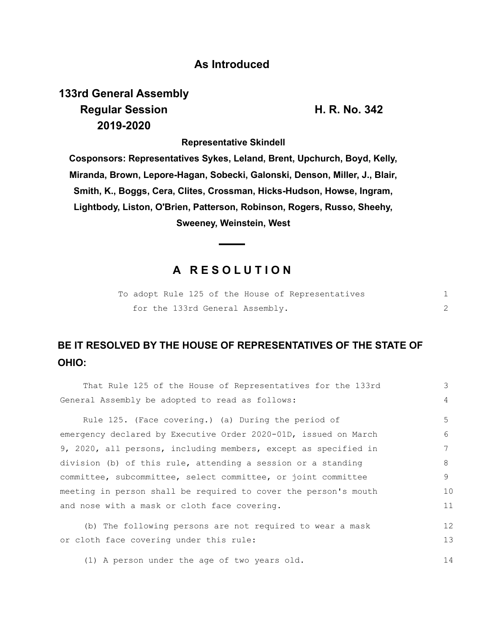#### **As Introduced**

# **133rd General Assembly Regular Session H. R. No. 342 2019-2020**

**Representative Skindell**

**Cosponsors: Representatives Sykes, Leland, Brent, Upchurch, Boyd, Kelly, Miranda, Brown, Lepore-Hagan, Sobecki, Galonski, Denson, Miller, J., Blair, Smith, K., Boggs, Cera, Clites, Crossman, Hicks-Hudson, Howse, Ingram, Lightbody, Liston, O'Brien, Patterson, Robinson, Rogers, Russo, Sheehy, Sweeney, Weinstein, West**

### **A R E S O L U T I O N**

|  |  |                                 |  | To adopt Rule 125 of the House of Representatives |  |
|--|--|---------------------------------|--|---------------------------------------------------|--|
|  |  | for the 133rd General Assembly. |  |                                                   |  |

## **BE IT RESOLVED BY THE HOUSE OF REPRESENTATIVES OF THE STATE OF OHIO:**

| That Rule 125 of the House of Representatives for the 133rd     | 3           |  |  |  |  |
|-----------------------------------------------------------------|-------------|--|--|--|--|
| General Assembly be adopted to read as follows:                 | 4           |  |  |  |  |
| Rule 125. (Face covering.) (a) During the period of             | 5           |  |  |  |  |
| emergency declared by Executive Order 2020-01D, issued on March | $6^{\circ}$ |  |  |  |  |
| 9, 2020, all persons, including members, except as specified in |             |  |  |  |  |
| division (b) of this rule, attending a session or a standing    | 8           |  |  |  |  |
| committee, subcommittee, select committee, or joint committee   | 9           |  |  |  |  |
| meeting in person shall be required to cover the person's mouth | 10          |  |  |  |  |
| and nose with a mask or cloth face covering.                    |             |  |  |  |  |
| (b) The following persons are not required to wear a mask       | 12          |  |  |  |  |
| or cloth face covering under this rule:                         | 13          |  |  |  |  |
| (1) A person under the age of two years old.                    | 14          |  |  |  |  |